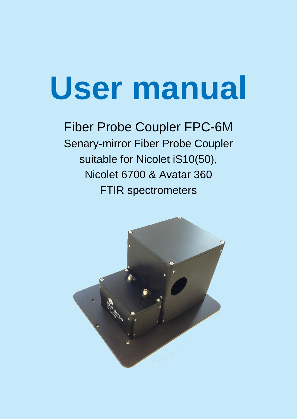# **User manual**

Fiber Probe Coupler FPC-6M Senary-mirror Fiber Probe Coupler suitable for Nicolet iS10(50), Nicolet 6700 & Avatar 360 FTIR spectrometers

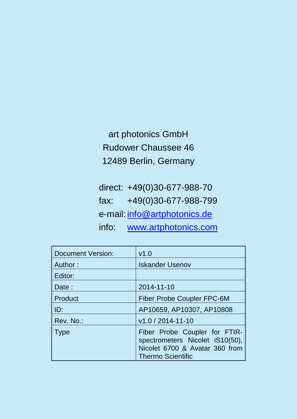### art photonics GmbH Rudower Chaussee 46 12489 Berlin, Germany

direct: +49(0)30-677-988-70 fax: +49(0)30-677-988-799 e-mail: [info@artphotonics.de](mailto:info@artphotonics.de) info: [www.artphotonics.com](http://www.artphotonics.com/)

| <b>Document Version:</b> | v1.0                                                                                                                           |
|--------------------------|--------------------------------------------------------------------------------------------------------------------------------|
| Author:                  | <b>Iskander Usenov</b>                                                                                                         |
| Editor:                  |                                                                                                                                |
| Date:                    | 2014-11-10                                                                                                                     |
| Product                  | <b>Fiber Probe Coupler FPC-6M</b>                                                                                              |
| ID:                      | AP10659, AP10307, AP10808                                                                                                      |
| Rev. No.:                | v1.0 / 2014-11-10                                                                                                              |
| <b>Type</b>              | Fiber Probe Coupler for FTIR-<br>spectrometers Nicolet iS10(50),<br>Nicolet 6700 & Avatar 360 from<br><b>Thermo Scientific</b> |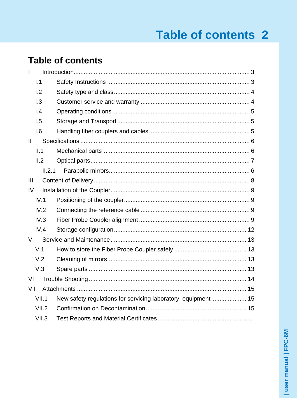# **Table of contents 2**

### **Table of contents**

<span id="page-2-0"></span>

| $\overline{1}$ |        |                                                              |  |
|----------------|--------|--------------------------------------------------------------|--|
|                | 1.1    |                                                              |  |
|                | 1.2    |                                                              |  |
|                | 1.3    |                                                              |  |
|                | 1.4    |                                                              |  |
|                | 1.5    |                                                              |  |
|                | 1.6    |                                                              |  |
| $\mathbf{  }$  |        |                                                              |  |
|                | II.1   |                                                              |  |
|                | II.2   |                                                              |  |
|                | II.2.1 |                                                              |  |
| III            |        |                                                              |  |
| IV             |        |                                                              |  |
|                | IV.1   |                                                              |  |
|                | IV.2   |                                                              |  |
|                | IV.3   |                                                              |  |
|                | IV.4   |                                                              |  |
| V              |        |                                                              |  |
|                | V.1    |                                                              |  |
|                | V.2    |                                                              |  |
|                | V.3    |                                                              |  |
| VI             |        |                                                              |  |
| VII            |        |                                                              |  |
|                | VII.1  | New safety regulations for servicing laboratory equipment 15 |  |
|                | VII.2  |                                                              |  |
|                | VII.3  |                                                              |  |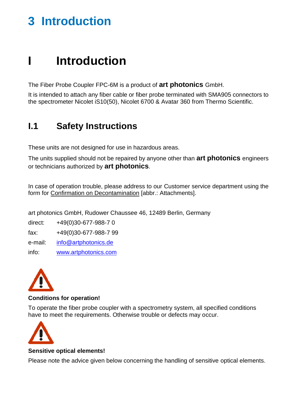# **3 Introduction**

# **I Introduction**

The Fiber Probe Coupler FPC-6M is a product of **art photonics** GmbH.

It is intended to attach any fiber cable or fiber probe terminated with SMA905 connectors to the spectrometer Nicolet iS10(50), Nicolet 6700 & Avatar 360 from Thermo Scientific.

### <span id="page-3-0"></span>**I.1 Safety Instructions**

These units are not designed for use in hazardous areas.

The units supplied should not be repaired by anyone other than **art photonics** engineers or technicians authorized by **art photonics**.

In case of operation trouble, please address to our Customer service department using the form for Confirmation on Decontamination [abbr.: Attachments].

art photonics GmbH, Rudower Chaussee 46, 12489 Berlin, Germany

direct: +49(0)30-677-988-7 0

fax: +49(0)30-677-988-7 99

e-mail: [info@artphotonics.de](mailto:info@artphotonics.de)

info: [www.artphotonics.com](http://www.artphotonics.com/)



#### **Conditions for operation!**

To operate the fiber probe coupler with a spectrometry system, all specified conditions have to meet the requirements. Otherwise trouble or defects may occur.



#### **Sensitive optical elements!**

Please note the advice given below concerning the handling of sensitive optical elements.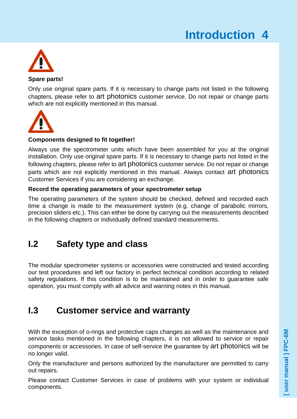

#### **Spare parts!**

Only use original spare parts. If it is necessary to change parts not listed in the following chapters, please refer to art photonics customer service. Do not repair or change parts which are not explicitly mentioned in this manual.



#### **Components designed to fit together!**

Always use the spectrometer units which have been assembled for you at the original installation. Only use original spare parts. If it is necessary to change parts not listed in the following chapters, please refer to art photonics customer service. Do not repair or change parts which are not explicitly mentioned in this manual. Always contact art photonics Customer Services if you are considering an exchange.

#### **Record the operating parameters of your spectrometer setup**

The operating parameters of the system should be checked, defined and recorded each time a change is made to the measurement system (e.g. change of parabolic mirrors, precision sliders etc.). This can either be done by carrying out the measurements described in the following chapters or individually defined standard measurements.

### <span id="page-4-0"></span>**I.2 Safety type and class**

The modular spectrometer systems or accessories were constructed and tested according our test procedures and left our factory in perfect technical condition according to related safety regulations. If this condition is to be maintained and in order to guarantee safe operation, you must comply with all advice and warning notes in this manual.

#### <span id="page-4-1"></span>**I.3 Customer service and warranty**

With the exception of o-rings and protective caps changes as well as the maintenance and service tasks mentioned in the following chapters, it is not allowed to service or repair components or accessories. In case of self-service the guarantee by art photonics will be no longer valid.

Only the manufacturer and persons authorized by the manufacturer are permitted to carry out repairs.

Please contact Customer Services in case of problems with your system or individual components.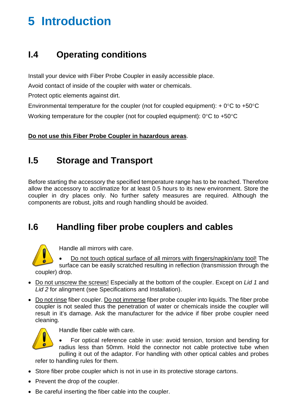# **5 Introduction**

#### <span id="page-5-0"></span>**I.4 Operating conditions**

Install your device with Fiber Probe Coupler in easily accessible place.

Avoid contact of inside of the coupler with water or chemicals.

Protect optic elements against dirt.

Environmental temperature for the coupler (not for coupled equipment):  $+ 0^{\circ}C$  to  $+50^{\circ}C$ Working temperature for the coupler (not for coupled equipment):  $0^{\circ}$ C to +50 $^{\circ}$ C

**Do not use this Fiber Probe Coupler in hazardous areas**.

### <span id="page-5-1"></span>**I.5 Storage and Transport**

Before starting the accessory the specified temperature range has to be reached. Therefore allow the accessory to acclimatize for at least 0.5 hours to its new environment. Store the coupler in dry places only. No further safety measures are required. Although the components are robust, jolts and rough handling should be avoided.

### <span id="page-5-2"></span>**I.6 Handling fiber probe couplers and cables**



Handle all mirrors with care.

 Do not touch optical surface of all mirrors with fingers/napkin/any tool! The surface can be easily scratched resulting in reflection (transmission through the coupler) drop.

- Do not unscrew the screws! Especially at the bottom of the coupler. Except on *Lid 1* and *Lid 2* for alingment (see Specifications and Installation).
- Do not rinse fiber coupler. Do not immerse fiber probe coupler into liquids. The fiber probe coupler is not sealed thus the penetration of water or chemicals inside the coupler will result in it's damage. Ask the manufacturer for the advice if fiber probe coupler need cleaning.



Handle fiber cable with care.

<span id="page-5-3"></span> For optical reference cable in use: avoid tension, torsion and bending for radius less than 50mm. Hold the connector not cable protective tube when pulling it out of the adaptor. For handling with other optical cables and probes

refer to handling rules for them.

- Store fiber probe coupler which is not in use in its protective storage cartons.
- Prevent the drop of the coupler.
- Be careful inserting the fiber cable into the coupler.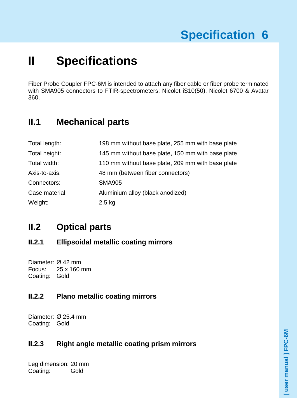# **II Specifications**

Fiber Probe Coupler FPC-6M is intended to attach any fiber cable or fiber probe terminated with SMA905 connectors to FTIR-spectrometers: Nicolet iS10(50), Nicolet 6700 & Avatar 360.

### <span id="page-6-0"></span>**II.1 Mechanical parts**

| Total length:  | 198 mm without base plate, 255 mm with base plate |
|----------------|---------------------------------------------------|
| Total height:  | 145 mm without base plate, 150 mm with base plate |
| Total width:   | 110 mm without base plate, 209 mm with base plate |
| Axis-to-axis:  | 48 mm (between fiber connectors)                  |
| Connectors:    | <b>SMA905</b>                                     |
| Case material: | Aluminium alloy (black anodized)                  |
| Weight:        | $2.5$ kg                                          |

### <span id="page-6-1"></span>**II.2 Optical parts**

#### <span id="page-6-2"></span>**II.2.1 Ellipsoidal metallic coating mirrors**

Diameter: Ø 42 mm Focus: 25 x 160 mm Coating: Gold

#### **II.2.2 Plano metallic coating mirrors**

Diameter: Ø 25.4 mm Coating: Gold

#### **II.2.3 Right angle metallic coating prism mirrors**

Leg dimension: 20 mm Coating: Gold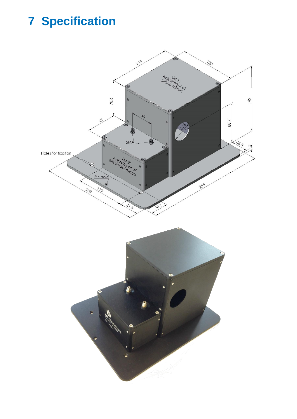# **7 Specification**

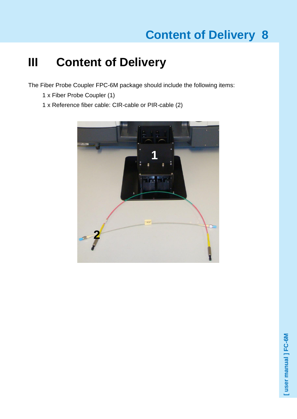# <span id="page-8-0"></span>**III Content of Delivery**

The Fiber Probe Coupler FPC-6M package should include the following items:

- 1 x Fiber Probe Coupler (1)
- 1 x Reference fiber cable: CIR-cable or PIR-cable (2)

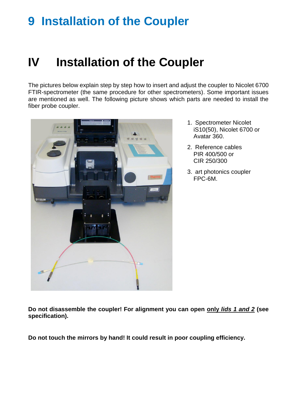# <span id="page-9-0"></span>**IV Installation of the Coupler**

The pictures below explain step by step how to insert and adjust the coupler to Nicolet 6700 FTIR-spectrometer (the same procedure for other spectrometers). Some important issues are mentioned as well. The following picture shows which parts are needed to install the fiber probe coupler.



- 1. Spectrometer Nicolet iS10(50), Nicolet 6700 or Avatar 360.
- 2. Reference cables PIR 400/500 or CIR 250/300
- 3. art photonics coupler FPC-6M.

**Do not disassemble the coupler! For alignment you can open only** *lids 1 and 2* **(see specification).**

**Do not touch the mirrors by hand! It could result in poor coupling efficiency.**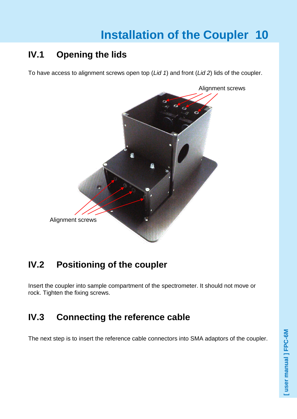### **IV.1 Opening the lids**

To have access to alignment screws open top (*Lid 1*) and front (*Lid 2*) lids of the coupler.



### <span id="page-10-0"></span>**IV.2 Positioning of the coupler**

Insert the coupler into sample compartment of the spectrometer. It should not move or rock. Tighten the fixing screws.

### **IV.3 Connecting the reference cable**

The next step is to insert the reference cable connectors into SMA adaptors of the coupler.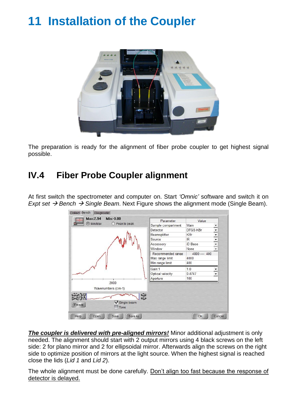

The preparation is ready for the alignment of fiber probe coupler to get highest signal possible.

### <span id="page-11-0"></span>**IV.4 Fiber Probe Coupler alignment**

At first switch the spectrometer and computer on. Start *'Omnic'* software and switch it on *Expt set*  $\rightarrow$  *Bench*  $\rightarrow$  *Single Beam.* Next Figure shows the alignment mode (Single Beam).



**The coupler is delivered with pre-aligned mirrors!** Minor additional adjustment is only needed. The alignment should start with 2 output mirrors using 4 black screws on the left side: 2 for plano mirror and 2 for ellipsoidal mirror. Afterwards align the screws on the right side to optimize position of mirrors at the light source. When the highest signal is reached close the lids (*Lid 1* and *Lid 2*).

The whole alignment must be done carefully. Don't align too fast because the response of detector is delayed.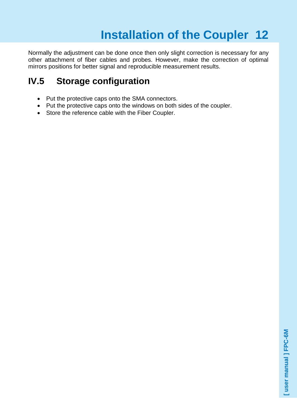Normally the adjustment can be done once then only slight correction is necessary for any other attachment of fiber cables and probes. However, make the correction of optimal mirrors positions for better signal and reproducible measurement results.

### <span id="page-12-0"></span>**IV.5 Storage configuration**

- Put the protective caps onto the SMA connectors.
- Put the protective caps onto the windows on both sides of the coupler.
- Store the reference cable with the Fiber Coupler.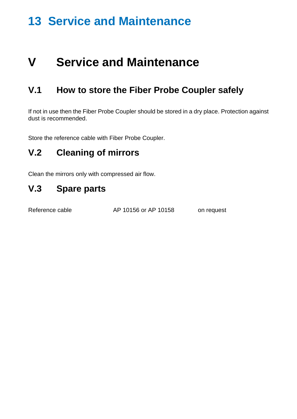# **13 Service and Maintenance**

## <span id="page-13-0"></span>**V Service and Maintenance**

### <span id="page-13-1"></span>**V.1 How to store the Fiber Probe Coupler safely**

If not in use then the Fiber Probe Coupler should be stored in a dry place. Protection against dust is recommended.

Store the reference cable with Fiber Probe Coupler.

### <span id="page-13-2"></span>**V.2 Cleaning of mirrors**

Clean the mirrors only with compressed air flow.

#### <span id="page-13-3"></span>**V.3 Spare parts**

Reference cable **AP 10156** or AP 10158 on request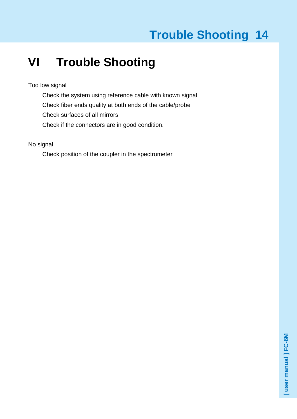# **Trouble Shooting 14**

# <span id="page-14-0"></span>**VI Trouble Shooting**

Too low signal

Check the system using reference cable with known signal Check fiber ends quality at both ends of the cable/probe

Check surfaces of all mirrors

Check if the connectors are in good condition.

No signal

Check position of the coupler in the spectrometer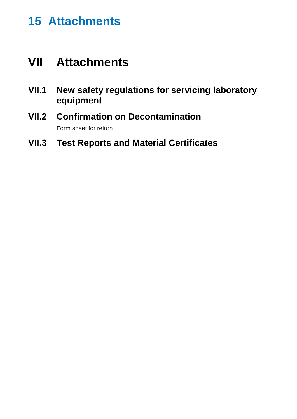# **15 Attachments**

# <span id="page-15-0"></span>**VII Attachments**

- <span id="page-15-1"></span>**VII.1 New safety regulations for servicing laboratory equipment**
- <span id="page-15-2"></span>**VII.2 Confirmation on Decontamination** Form sheet for return
- <span id="page-15-3"></span>**VII.3 Test Reports and Material Certificates**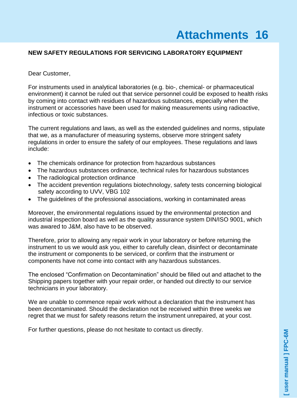#### **NEW SAFETY REGULATIONS FOR SERVICING LABORATORY EQUIPMENT**

#### Dear Customer,

For instruments used in analytical laboratories (e.g. bio-, chemical- or pharmaceutical environment) it cannot be ruled out that service personnel could be exposed to health risks by coming into contact with residues of hazardous substances, especially when the instrument or accessories have been used for making measurements using radioactive, infectious or toxic substances.

The current regulations and laws, as well as the extended guidelines and norms, stipulate that we, as a manufacturer of measuring systems, observe more stringent safety regulations in order to ensure the safety of our employees. These regulations and laws include:

- The chemicals ordinance for protection from hazardous substances
- The hazardous substances ordinance, technical rules for hazardous substances
- The radiological protection ordinance
- The accident prevention regulations biotechnology, safety tests concerning biological safety according to UVV, VBG 102
- The guidelines of the professional associations, working in contaminated areas

Moreover, the environmental regulations issued by the environmental protection and industrial inspection board as well as the quality assurance system DIN/ISO 9001, which was awared to J&M, also have to be observed.

Therefore, prior to allowing any repair work in your laboratory or before returning the instrument to us we would ask you, either to carefully clean, disinfect or decontaminate the instrument or components to be serviced, or confirm that the instrument or components have not come into contact with any hazardous substances.

The enclosed "Confirmation on Decontamination" should be filled out and attachet to the Shipping papers together with your repair order, or handed out directly to our service technicians in your laboratory.

We are unable to commence repair work without a declaration that the instrument has been decontaminated. Should the declaration not be received within three weeks we regret that we must for safety reasons return the instrument unrepaired, at your cost.

For further questions, please do not hesitate to contact us directly.